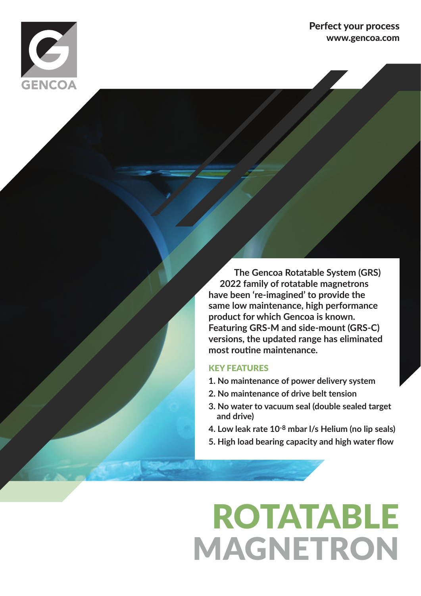

#### Perfect your process www.gencoa.com

 **The Gencoa Rotatable System (GRS) 2022 family of rotatable magnetrons have been 're-imagined' to provide the same low maintenance, high performance product for which Gencoa is known. Featuring GRS-M and side-mount (GRS-C) versions, the updated range has eliminated most routine maintenance.**

#### KEY FEATURES

- **1. No maintenance of power delivery system**
- **2. No maintenance of drive belt tension**
- **3. No water to vacuum seal (double sealed target and drive)**
- **4. Low leak rate 10-8 mbar l/s Helium (no lip seals)**
- **5. High load bearing capacity and high water flow**

# ROTATABLE MAGNETRON